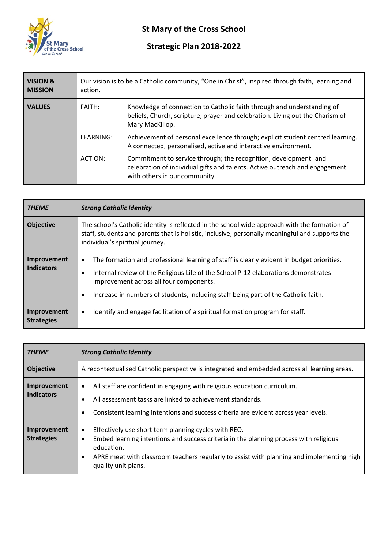

## **St Mary of the Cross School**

## **Strategic Plan 2018-2022**

| <b>VISION &amp;</b><br><b>MISSION</b> | action.       | Our vision is to be a Catholic community, "One in Christ", inspired through faith, learning and                                                                                 |
|---------------------------------------|---------------|---------------------------------------------------------------------------------------------------------------------------------------------------------------------------------|
| <b>VALUES</b>                         | <b>FAITH:</b> | Knowledge of connection to Catholic faith through and understanding of<br>beliefs, Church, scripture, prayer and celebration. Living out the Charism of<br>Mary MacKillop.      |
|                                       | LEARNING:     | Achievement of personal excellence through; explicit student centred learning.<br>A connected, personalised, active and interactive environment.                                |
|                                       | ACTION:       | Commitment to service through; the recognition, development and<br>celebration of individual gifts and talents. Active outreach and engagement<br>with others in our community. |

| <b>THEME</b>                     | <b>Strong Catholic Identity</b>                                                                                                                                                                                                                                                                                       |  |
|----------------------------------|-----------------------------------------------------------------------------------------------------------------------------------------------------------------------------------------------------------------------------------------------------------------------------------------------------------------------|--|
| <b>Objective</b>                 | The school's Catholic identity is reflected in the school wide approach with the formation of<br>staff, students and parents that is holistic, inclusive, personally meaningful and supports the<br>individual's spiritual journey.                                                                                   |  |
| Improvement<br><b>Indicators</b> | The formation and professional learning of staff is clearly evident in budget priorities.<br>٠<br>Internal review of the Religious Life of the School P-12 elaborations demonstrates<br>improvement across all four components.<br>Increase in numbers of students, including staff being part of the Catholic faith. |  |
| Improvement<br><b>Strategies</b> | Identify and engage facilitation of a spiritual formation program for staff.<br>٠                                                                                                                                                                                                                                     |  |

| <b>THEME</b>                     | <b>Strong Catholic Identity</b>                                                                                                                                                                                                                                                                   |
|----------------------------------|---------------------------------------------------------------------------------------------------------------------------------------------------------------------------------------------------------------------------------------------------------------------------------------------------|
| <b>Objective</b>                 | A recontextualised Catholic perspective is integrated and embedded across all learning areas.                                                                                                                                                                                                     |
| Improvement<br><b>Indicators</b> | All staff are confident in engaging with religious education curriculum.<br>$\bullet$<br>All assessment tasks are linked to achievement standards.<br>Consistent learning intentions and success criteria are evident across year levels.                                                         |
| Improvement<br><b>Strategies</b> | Effectively use short term planning cycles with REO.<br>$\bullet$<br>Embed learning intentions and success criteria in the planning process with religious<br>٠<br>education.<br>APRE meet with classroom teachers regularly to assist with planning and implementing high<br>quality unit plans. |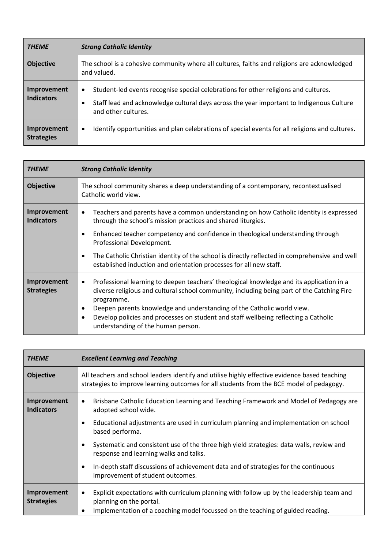| <b>THEME</b>                     | <b>Strong Catholic Identity</b>                                                                                                                                                                                     |  |
|----------------------------------|---------------------------------------------------------------------------------------------------------------------------------------------------------------------------------------------------------------------|--|
| <b>Objective</b>                 | The school is a cohesive community where all cultures, faiths and religions are acknowledged<br>and valued.                                                                                                         |  |
| Improvement<br><b>Indicators</b> | Student-led events recognise special celebrations for other religions and cultures.<br>$\bullet$<br>Staff lead and acknowledge cultural days across the year important to Indigenous Culture<br>and other cultures. |  |
| Improvement<br><b>Strategies</b> | Identify opportunities and plan celebrations of special events for all religions and cultures.<br>$\bullet$                                                                                                         |  |

| <b>THEME</b>                            | <b>Strong Catholic Identity</b>                                                                                                                                                                                                                                                                                                                                                                                                    |
|-----------------------------------------|------------------------------------------------------------------------------------------------------------------------------------------------------------------------------------------------------------------------------------------------------------------------------------------------------------------------------------------------------------------------------------------------------------------------------------|
| <b>Objective</b>                        | The school community shares a deep understanding of a contemporary, recontextualised<br>Catholic world view.                                                                                                                                                                                                                                                                                                                       |
| <b>Improvement</b><br><b>Indicators</b> | Teachers and parents have a common understanding on how Catholic identity is expressed<br>٠<br>through the school's mission practices and shared liturgies.                                                                                                                                                                                                                                                                        |
|                                         | Enhanced teacher competency and confidence in theological understanding through<br>$\bullet$<br>Professional Development.                                                                                                                                                                                                                                                                                                          |
|                                         | The Catholic Christian identity of the school is directly reflected in comprehensive and well<br>established induction and orientation processes for all new staff.                                                                                                                                                                                                                                                                |
| Improvement<br><b>Strategies</b>        | Professional learning to deepen teachers' theological knowledge and its application in a<br>$\bullet$<br>diverse religious and cultural school community, including being part of the Catching Fire<br>programme.<br>Deepen parents knowledge and understanding of the Catholic world view.<br>٠<br>Develop policies and processes on student and staff wellbeing reflecting a Catholic<br>٠<br>understanding of the human person. |

| <b>THEME</b>                     | <b>Excellent Learning and Teaching</b>                                                                                                                                                                             |  |
|----------------------------------|--------------------------------------------------------------------------------------------------------------------------------------------------------------------------------------------------------------------|--|
| <b>Objective</b>                 | All teachers and school leaders identify and utilise highly effective evidence based teaching<br>strategies to improve learning outcomes for all students from the BCE model of pedagogy.                          |  |
| Improvement<br><b>Indicators</b> | Brisbane Catholic Education Learning and Teaching Framework and Model of Pedagogy are<br>٠<br>adopted school wide.                                                                                                 |  |
|                                  | Educational adjustments are used in curriculum planning and implementation on school<br>based performa.                                                                                                            |  |
|                                  | Systematic and consistent use of the three high yield strategies: data walls, review and<br>response and learning walks and talks.                                                                                 |  |
|                                  | In-depth staff discussions of achievement data and of strategies for the continuous<br>improvement of student outcomes.                                                                                            |  |
| Improvement<br><b>Strategies</b> | Explicit expectations with curriculum planning with follow up by the leadership team and<br>planning on the portal.<br>Implementation of a coaching model focussed on the teaching of guided reading.<br>$\bullet$ |  |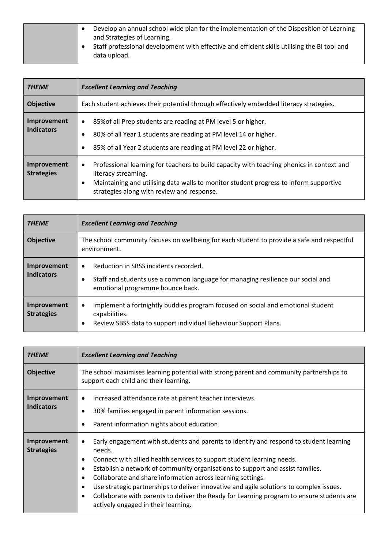| Develop an annual school wide plan for the implementation of the Disposition of Learning     |
|----------------------------------------------------------------------------------------------|
| and Strategies of Learning.                                                                  |
| Staff professional development with effective and efficient skills utilising the BI tool and |
| data upload.                                                                                 |

| <b>THEME</b>                     | <b>Excellent Learning and Teaching</b>                                                                                                                                                                                                                               |  |
|----------------------------------|----------------------------------------------------------------------------------------------------------------------------------------------------------------------------------------------------------------------------------------------------------------------|--|
| <b>Objective</b>                 | Each student achieves their potential through effectively embedded literacy strategies.                                                                                                                                                                              |  |
| Improvement<br><b>Indicators</b> | 85% of all Prep students are reading at PM level 5 or higher.<br>$\bullet$<br>80% of all Year 1 students are reading at PM level 14 or higher.<br>٠<br>85% of all Year 2 students are reading at PM level 22 or higher.                                              |  |
| Improvement<br><b>Strategies</b> | Professional learning for teachers to build capacity with teaching phonics in context and<br>$\bullet$<br>literacy streaming.<br>Maintaining and utilising data walls to monitor student progress to inform supportive<br>strategies along with review and response. |  |

| <b>THEME</b>                     | <b>Excellent Learning and Teaching</b>                                                                                                                                                |  |
|----------------------------------|---------------------------------------------------------------------------------------------------------------------------------------------------------------------------------------|--|
| <b>Objective</b>                 | The school community focuses on wellbeing for each student to provide a safe and respectful<br>environment.                                                                           |  |
| Improvement<br><b>Indicators</b> | Reduction in SBSS incidents recorded.<br>٠<br>Staff and students use a common language for managing resilience our social and<br>٠<br>emotional programme bounce back.                |  |
| Improvement<br><b>Strategies</b> | Implement a fortnightly buddies program focused on social and emotional student<br>$\bullet$<br>capabilities.<br>Review SBSS data to support individual Behaviour Support Plans.<br>٠ |  |

| <b>THEME</b>                     | <b>Excellent Learning and Teaching</b>                                                                                                                                                                                                                                                                                                                                                                                                                                                                                                                                              |
|----------------------------------|-------------------------------------------------------------------------------------------------------------------------------------------------------------------------------------------------------------------------------------------------------------------------------------------------------------------------------------------------------------------------------------------------------------------------------------------------------------------------------------------------------------------------------------------------------------------------------------|
| <b>Objective</b>                 | The school maximises learning potential with strong parent and community partnerships to<br>support each child and their learning.                                                                                                                                                                                                                                                                                                                                                                                                                                                  |
| Improvement<br><b>Indicators</b> | Increased attendance rate at parent teacher interviews.<br>٠<br>30% families engaged in parent information sessions.<br>Parent information nights about education.                                                                                                                                                                                                                                                                                                                                                                                                                  |
| Improvement<br><b>Strategies</b> | Early engagement with students and parents to identify and respond to student learning<br>٠<br>needs.<br>Connect with allied health services to support student learning needs.<br>٠<br>Establish a network of community organisations to support and assist families.<br>٠<br>Collaborate and share information across learning settings.<br>٠<br>Use strategic partnerships to deliver innovative and agile solutions to complex issues.<br>٠<br>Collaborate with parents to deliver the Ready for Learning program to ensure students are<br>actively engaged in their learning. |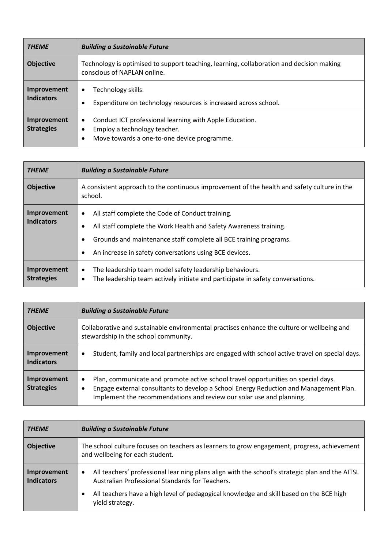| <b>THEME</b>                     | <b>Building a Sustainable Future</b>                                                                                                                |  |
|----------------------------------|-----------------------------------------------------------------------------------------------------------------------------------------------------|--|
| <b>Objective</b>                 | Technology is optimised to support teaching, learning, collaboration and decision making<br>conscious of NAPLAN online.                             |  |
| Improvement<br><b>Indicators</b> | Technology skills.<br>٠<br>Expenditure on technology resources is increased across school.<br>٠                                                     |  |
| Improvement<br><b>Strategies</b> | Conduct ICT professional learning with Apple Education.<br>$\bullet$<br>Employ a technology teacher.<br>Move towards a one-to-one device programme. |  |

| <b>THEME</b>                            | <b>Building a Sustainable Future</b>                                                                                                                                                                                                                      |  |
|-----------------------------------------|-----------------------------------------------------------------------------------------------------------------------------------------------------------------------------------------------------------------------------------------------------------|--|
| <b>Objective</b>                        | A consistent approach to the continuous improvement of the health and safety culture in the<br>school.                                                                                                                                                    |  |
| Improvement<br><b>Indicators</b>        | All staff complete the Code of Conduct training.<br>٠<br>All staff complete the Work Health and Safety Awareness training.<br>Grounds and maintenance staff complete all BCE training programs.<br>An increase in safety conversations using BCE devices. |  |
| <b>Improvement</b><br><b>Strategies</b> | The leadership team model safety leadership behaviours.<br>٠<br>The leadership team actively initiate and participate in safety conversations.<br>٠                                                                                                       |  |

| <b>THEME</b>                     | <b>Building a Sustainable Future</b>                                                                                                                                                                                                                    |
|----------------------------------|---------------------------------------------------------------------------------------------------------------------------------------------------------------------------------------------------------------------------------------------------------|
| <b>Objective</b>                 | Collaborative and sustainable environmental practises enhance the culture or wellbeing and<br>stewardship in the school community.                                                                                                                      |
| Improvement<br><b>Indicators</b> | Student, family and local partnerships are engaged with school active travel on special days.<br>٠                                                                                                                                                      |
| Improvement<br><b>Strategies</b> | Plan, communicate and promote active school travel opportunities on special days.<br>٠<br>Engage external consultants to develop a School Energy Reduction and Management Plan.<br>Implement the recommendations and review our solar use and planning. |

| <b>THEME</b>                     | <b>Building a Sustainable Future</b>                                                                                                                            |
|----------------------------------|-----------------------------------------------------------------------------------------------------------------------------------------------------------------|
| <b>Objective</b>                 | The school culture focuses on teachers as learners to grow engagement, progress, achievement<br>and wellbeing for each student.                                 |
| Improvement<br><b>Indicators</b> | All teachers' professional lear ning plans align with the school's strategic plan and the AITSL<br>$\bullet$<br>Australian Professional Standards for Teachers. |
|                                  | All teachers have a high level of pedagogical knowledge and skill based on the BCE high<br>٠<br>yield strategy.                                                 |